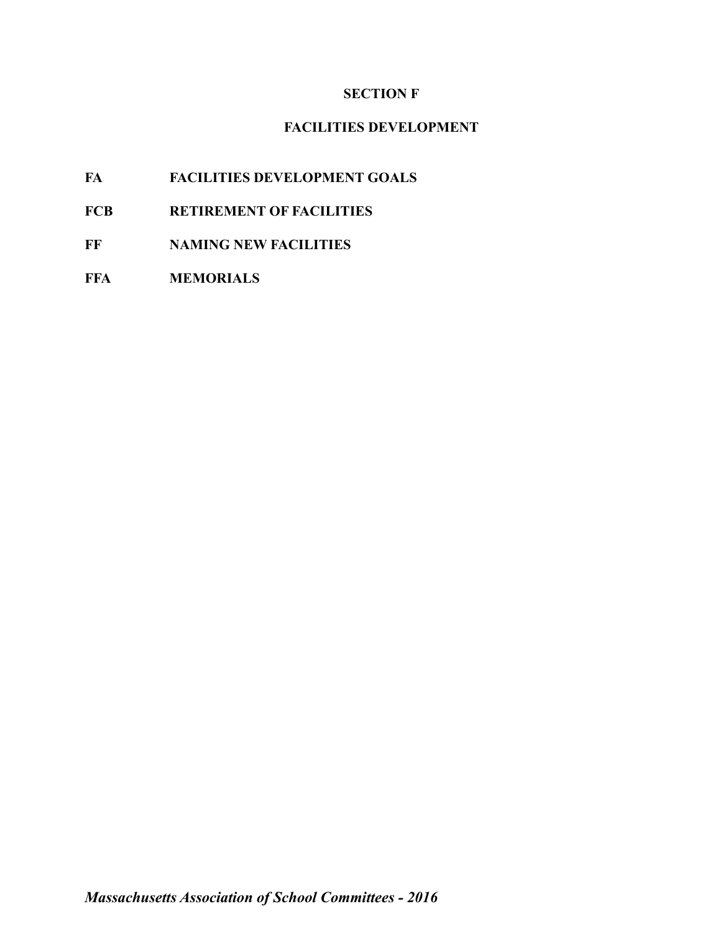# **SECTION F**

# **FACILITIES DEVELOPMENT**

- **FA FACILITIES DEVELOPMENT GOALS**
- **FCB RETIREMENT OF FACILITIES**
- **FF NAMING NEW FACILITIES**
- **FFA MEMORIALS**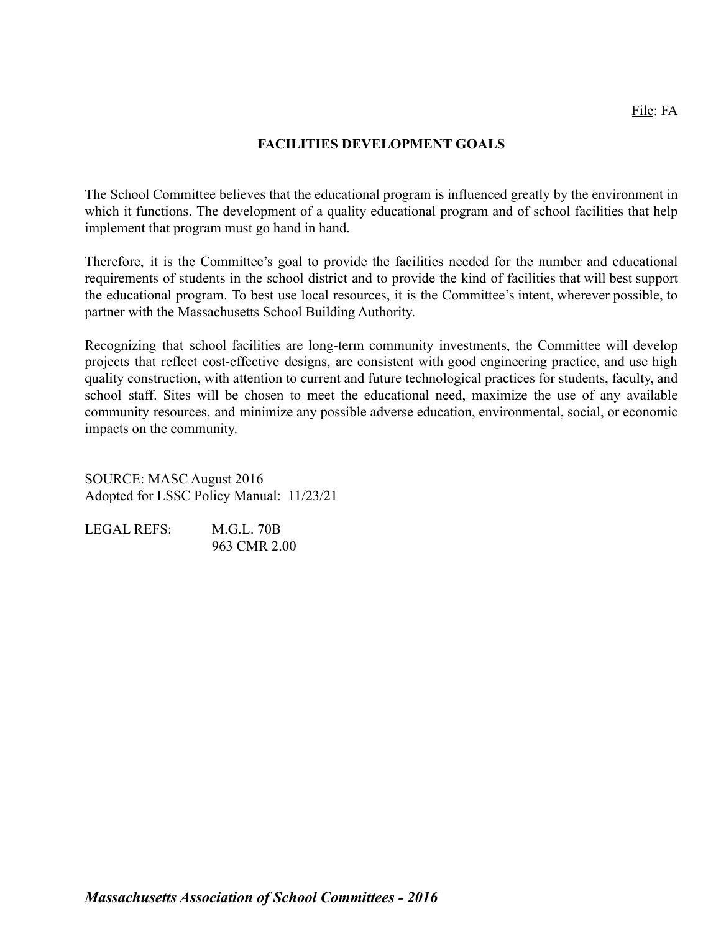## **FACILITIES DEVELOPMENT GOALS**

The School Committee believes that the educational program is influenced greatly by the environment in which it functions. The development of a quality educational program and of school facilities that help implement that program must go hand in hand.

Therefore, it is the Committee's goal to provide the facilities needed for the number and educational requirements of students in the school district and to provide the kind of facilities that will best support the educational program. To best use local resources, it is the Committee's intent, wherever possible, to partner with the Massachusetts School Building Authority.

Recognizing that school facilities are long-term community investments, the Committee will develop projects that reflect cost-effective designs, are consistent with good engineering practice, and use high quality construction, with attention to current and future technological practices for students, faculty, and school staff. Sites will be chosen to meet the educational need, maximize the use of any available community resources, and minimize any possible adverse education, environmental, social, or economic impacts on the community.

SOURCE: MASC August 2016 Adopted for LSSC Policy Manual: 11/23/21

| <b>LEGAL REFS:</b> | M.G.L. 70B   |
|--------------------|--------------|
|                    | 963 CMR 2.00 |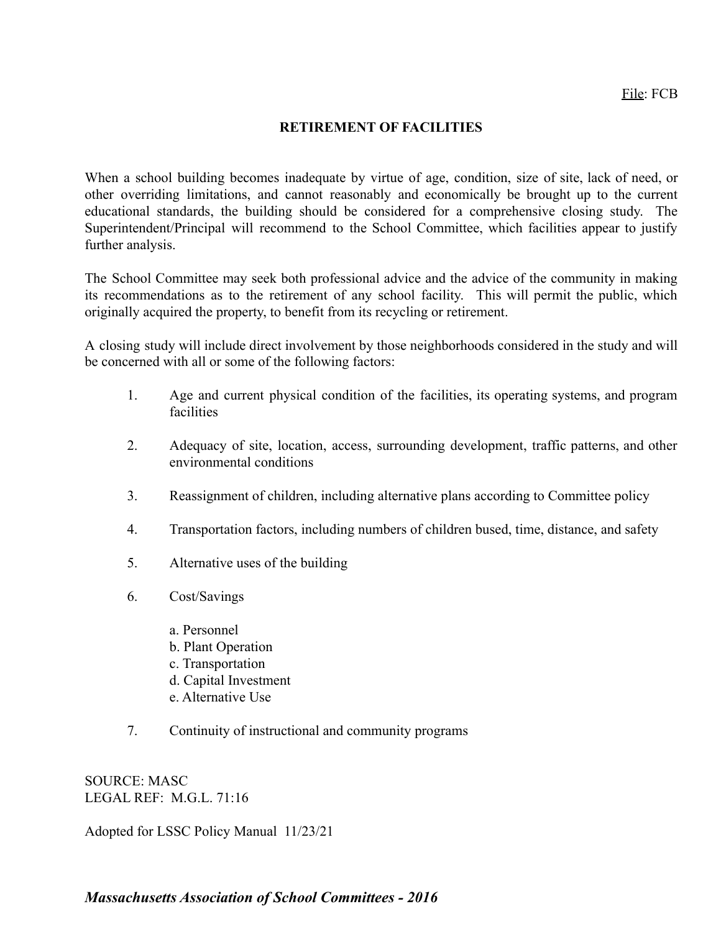## **RETIREMENT OF FACILITIES**

When a school building becomes inadequate by virtue of age, condition, size of site, lack of need, or other overriding limitations, and cannot reasonably and economically be brought up to the current educational standards, the building should be considered for a comprehensive closing study. The Superintendent/Principal will recommend to the School Committee, which facilities appear to justify further analysis.

The School Committee may seek both professional advice and the advice of the community in making its recommendations as to the retirement of any school facility. This will permit the public, which originally acquired the property, to benefit from its recycling or retirement.

A closing study will include direct involvement by those neighborhoods considered in the study and will be concerned with all or some of the following factors:

- 1. Age and current physical condition of the facilities, its operating systems, and program **facilities**
- 2. Adequacy of site, location, access, surrounding development, traffic patterns, and other environmental conditions
- 3. Reassignment of children, including alternative plans according to Committee policy
- 4. Transportation factors, including numbers of children bused, time, distance, and safety
- 5. Alternative uses of the building
- 6. Cost/Savings
	- a. Personnel
	- b. Plant Operation
	- c. Transportation
	- d. Capital Investment
	- e. Alternative Use
- 7. Continuity of instructional and community programs

SOURCE: MASC LEGAL REF: M.G.L. 71:16

Adopted for LSSC Policy Manual 11/23/21

*Massachusetts Association of School Committees - 2016*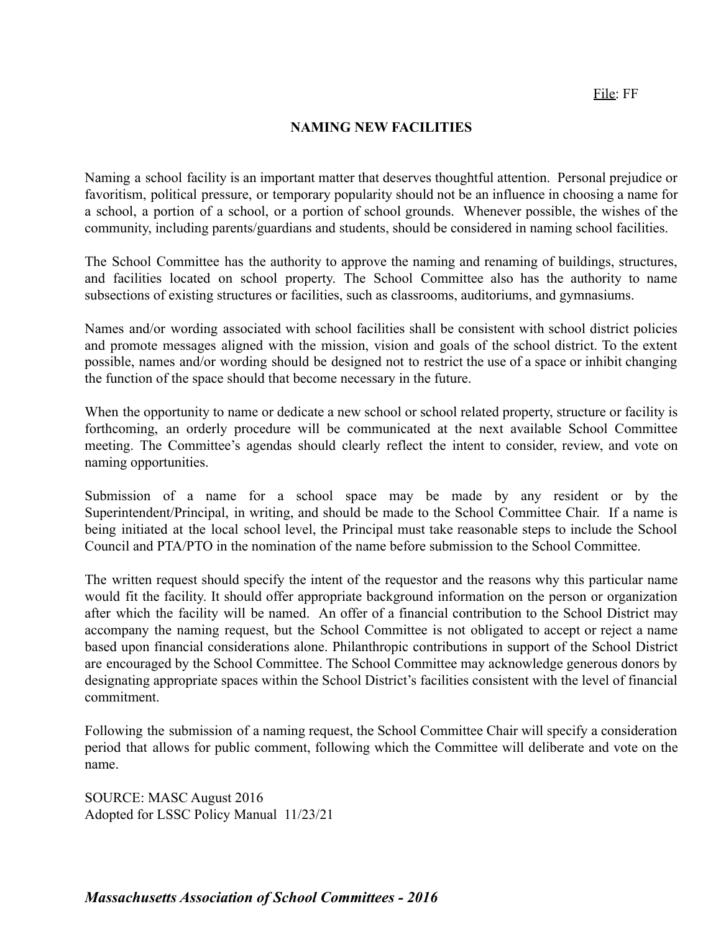### **NAMING NEW FACILITIES**

Naming a school facility is an important matter that deserves thoughtful attention. Personal prejudice or favoritism, political pressure, or temporary popularity should not be an influence in choosing a name for a school, a portion of a school, or a portion of school grounds. Whenever possible, the wishes of the community, including parents/guardians and students, should be considered in naming school facilities.

The School Committee has the authority to approve the naming and renaming of buildings, structures, and facilities located on school property. The School Committee also has the authority to name subsections of existing structures or facilities, such as classrooms, auditoriums, and gymnasiums.

Names and/or wording associated with school facilities shall be consistent with school district policies and promote messages aligned with the mission, vision and goals of the school district. To the extent possible, names and/or wording should be designed not to restrict the use of a space or inhibit changing the function of the space should that become necessary in the future.

When the opportunity to name or dedicate a new school or school related property, structure or facility is forthcoming, an orderly procedure will be communicated at the next available School Committee meeting. The Committee's agendas should clearly reflect the intent to consider, review, and vote on naming opportunities.

Submission of a name for a school space may be made by any resident or by the Superintendent/Principal, in writing, and should be made to the School Committee Chair. If a name is being initiated at the local school level, the Principal must take reasonable steps to include the School Council and PTA/PTO in the nomination of the name before submission to the School Committee.

The written request should specify the intent of the requestor and the reasons why this particular name would fit the facility. It should offer appropriate background information on the person or organization after which the facility will be named. An offer of a financial contribution to the School District may accompany the naming request, but the School Committee is not obligated to accept or reject a name based upon financial considerations alone. Philanthropic contributions in support of the School District are encouraged by the School Committee. The School Committee may acknowledge generous donors by designating appropriate spaces within the School District's facilities consistent with the level of financial commitment.

Following the submission of a naming request, the School Committee Chair will specify a consideration period that allows for public comment, following which the Committee will deliberate and vote on the name.

SOURCE: MASC August 2016 Adopted for LSSC Policy Manual 11/23/21